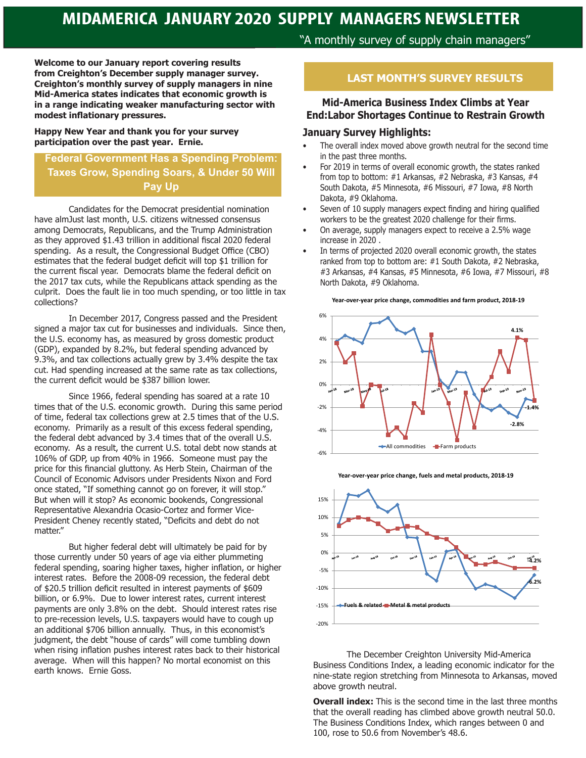**Welcome to our January report covering results from Creighton's December supply manager survey. Creighton's monthly survey of supply managers in nine Mid-America states indicates that economic growth is in a range indicating weaker manufacturing sector with modest inflationary pressures.** 

**Happy New Year and thank you for your survey participation over the past year. Ernie.** 

## **Federal Government Has a Spending Problem: Taxes Grow, Spending Soars, & Under 50 Will Pay Up**

Candidates for the Democrat presidential nomination have almJust last month, U.S. citizens witnessed consensus among Democrats, Republicans, and the Trump Administration as they approved \$1.43 trillion in additional fiscal 2020 federal spending. As a result, the Congressional Budget Office (CBO) estimates that the federal budget deficit will top \$1 trillion for the current fiscal year. Democrats blame the federal deficit on the 2017 tax cuts, while the Republicans attack spending as the culprit. Does the fault lie in too much spending, or too little in tax collections?

In December 2017, Congress passed and the President signed a major tax cut for businesses and individuals. Since then, the U.S. economy has, as measured by gross domestic product (GDP), expanded by 8.2%, but federal spending advanced by 9.3%, and tax collections actually grew by 3.4% despite the tax cut. Had spending increased at the same rate as tax collections, the current deficit would be \$387 billion lower.

Since 1966, federal spending has soared at a rate 10 times that of the U.S. economic growth. During this same period of time, federal tax collections grew at 2.5 times that of the U.S. economy. Primarily as a result of this excess federal spending, the federal debt advanced by 3.4 times that of the overall U.S. economy. As a result, the current U.S. total debt now stands at 106% of GDP, up from 40% in 1966. Someone must pay the price for this financial gluttony. As Herb Stein, Chairman of the Council of Economic Advisors under Presidents Nixon and Ford once stated, "If something cannot go on forever, it will stop." But when will it stop? As economic bookends, Congressional Representative Alexandria Ocasio-Cortez and former Vice-President Cheney recently stated, "Deficits and debt do not matter."

But higher federal debt will ultimately be paid for by those currently under 50 years of age via either plummeting federal spending, soaring higher taxes, higher inflation, or higher interest rates. Before the 2008-09 recession, the federal debt of \$20.5 trillion deficit resulted in interest payments of \$609 billion, or 6.9%. Due to lower interest rates, current interest payments are only 3.8% on the debt. Should interest rates rise to pre-recession levels, U.S. taxpayers would have to cough up an additional \$706 billion annually. Thus, in this economist's judgment, the debt "house of cards" will come tumbling down when rising inflation pushes interest rates back to their historical average. When will this happen? No mortal economist on this earth knows. Ernie Goss.

"A monthly survey of supply chain managers"

## **LAST MONTH'S SURVEY RESULTS**

## **Mid-America Business Index Climbs at Year End:Labor Shortages Continue to Restrain Growth**

#### **January Survey Highlights:**

- The overall index moved above growth neutral for the second time in the past three months.
- For 2019 in terms of overall economic growth, the states ranked from top to bottom: #1 Arkansas, #2 Nebraska, #3 Kansas, #4 South Dakota, #5 Minnesota, #6 Missouri, #7 Iowa, #8 North Dakota, #9 Oklahoma.
- Seven of 10 supply managers expect finding and hiring qualified workers to be the greatest 2020 challenge for their firms.
- On average, supply managers expect to receive a 2.5% wage increase in 2020 .
- In terms of projected 2020 overall economic growth, the states ranked from top to bottom are: #1 South Dakota, #2 Nebraska, #3 Arkansas, #4 Kansas, #5 Minnesota, #6 Iowa, #7 Missouri, #8 North Dakota, #9 Oklahoma.







**Year-over-year price change, fuels and metal products, 2018-19**

The December Creighton University Mid-America Business Conditions Index, a leading economic indicator for the nine-state region stretching from Minnesota to Arkansas, moved above growth neutral.

**Overall index:** This is the second time in the last three months that the overall reading has climbed above growth neutral 50.0. The Business Conditions Index, which ranges between 0 and 100, rose to 50.6 from November's 48.6.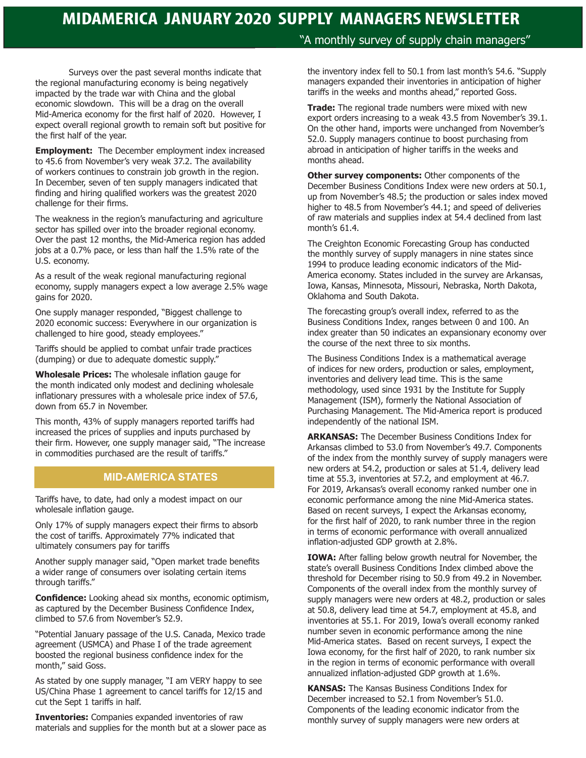Surveys over the past several months indicate that the regional manufacturing economy is being negatively impacted by the trade war with China and the global economic slowdown. This will be a drag on the overall Mid-America economy for the first half of 2020. However, I expect overall regional growth to remain soft but positive for the first half of the year.

**Employment:** The December employment index increased to 45.6 from November's very weak 37.2. The availability of workers continues to constrain job growth in the region. In December, seven of ten supply managers indicated that finding and hiring qualified workers was the greatest 2020 challenge for their firms.

The weakness in the region's manufacturing and agriculture sector has spilled over into the broader regional economy. Over the past 12 months, the Mid-America region has added jobs at a 0.7% pace, or less than half the 1.5% rate of the U.S. economy.

As a result of the weak regional manufacturing regional economy, supply managers expect a low average 2.5% wage gains for 2020.

One supply manager responded, "Biggest challenge to 2020 economic success: Everywhere in our organization is challenged to hire good, steady employees."

Tariffs should be applied to combat unfair trade practices (dumping) or due to adequate domestic supply."

**Wholesale Prices:** The wholesale inflation gauge for the month indicated only modest and declining wholesale inflationary pressures with a wholesale price index of 57.6, down from 65.7 in November.

This month, 43% of supply managers reported tariffs had increased the prices of supplies and inputs purchased by their firm. However, one supply manager said, "The increase in commodities purchased are the result of tariffs."

### **MID-AMERICA STATES**

Tariffs have, to date, had only a modest impact on our wholesale inflation gauge.

Only 17% of supply managers expect their firms to absorb the cost of tariffs. Approximately 77% indicated that ultimately consumers pay for tariffs

Another supply manager said, "Open market trade benefits a wider range of consumers over isolating certain items through tariffs."

**Confidence:** Looking ahead six months, economic optimism, as captured by the December Business Confidence Index, climbed to 57.6 from November's 52.9.

"Potential January passage of the U.S. Canada, Mexico trade agreement (USMCA) and Phase I of the trade agreement boosted the regional business confidence index for the month," said Goss.

As stated by one supply manager, "I am VERY happy to see US/China Phase 1 agreement to cancel tariffs for 12/15 and cut the Sept 1 tariffs in half.

**Inventories:** Companies expanded inventories of raw materials and supplies for the month but at a slower pace as

## "A monthly survey of supply chain managers"

the inventory index fell to 50.1 from last month's 54.6. "Supply managers expanded their inventories in anticipation of higher tariffs in the weeks and months ahead," reported Goss.

**Trade:** The regional trade numbers were mixed with new export orders increasing to a weak 43.5 from November's 39.1. On the other hand, imports were unchanged from November's 52.0. Supply managers continue to boost purchasing from abroad in anticipation of higher tariffs in the weeks and months ahead.

**Other survey components: Other components of the** December Business Conditions Index were new orders at 50.1, up from November's 48.5; the production or sales index moved higher to 48.5 from November's 44.1; and speed of deliveries of raw materials and supplies index at 54.4 declined from last month's 61.4.

The Creighton Economic Forecasting Group has conducted the monthly survey of supply managers in nine states since 1994 to produce leading economic indicators of the Mid-America economy. States included in the survey are Arkansas, Iowa, Kansas, Minnesota, Missouri, Nebraska, North Dakota, Oklahoma and South Dakota.

The forecasting group's overall index, referred to as the Business Conditions Index, ranges between 0 and 100. An index greater than 50 indicates an expansionary economy over the course of the next three to six months.

The Business Conditions Index is a mathematical average of indices for new orders, production or sales, employment, inventories and delivery lead time. This is the same methodology, used since 1931 by the Institute for Supply Management (ISM), formerly the National Association of Purchasing Management. The Mid-America report is produced independently of the national ISM.

**ARKANSAS:** The December Business Conditions Index for Arkansas climbed to 53.0 from November's 49.7. Components of the index from the monthly survey of supply managers were new orders at 54.2, production or sales at 51.4, delivery lead time at 55.3, inventories at 57.2, and employment at 46.7. For 2019, Arkansas's overall economy ranked number one in economic performance among the nine Mid-America states. Based on recent surveys, I expect the Arkansas economy, for the first half of 2020, to rank number three in the region in terms of economic performance with overall annualized inflation-adjusted GDP growth at 2.8%.

**IOWA:** After falling below growth neutral for November, the state's overall Business Conditions Index climbed above the threshold for December rising to 50.9 from 49.2 in November. Components of the overall index from the monthly survey of supply managers were new orders at 48.2, production or sales at 50.8, delivery lead time at 54.7, employment at 45.8, and inventories at 55.1. For 2019, Iowa's overall economy ranked number seven in economic performance among the nine Mid-America states. Based on recent surveys, I expect the Iowa economy, for the first half of 2020, to rank number six in the region in terms of economic performance with overall annualized inflation-adjusted GDP growth at 1.6%.

**KANSAS:** The Kansas Business Conditions Index for December increased to 52.1 from November's 51.0. Components of the leading economic indicator from the monthly survey of supply managers were new orders at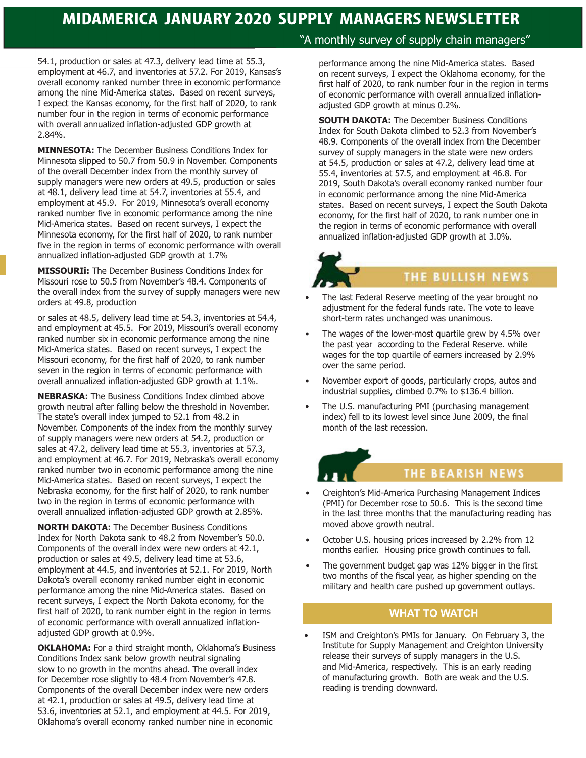54.1, production or sales at 47.3, delivery lead time at 55.3, employment at 46.7, and inventories at 57.2. For 2019, Kansas's overall economy ranked number three in economic performance among the nine Mid-America states. Based on recent surveys, I expect the Kansas economy, for the first half of 2020, to rank number four in the region in terms of economic performance with overall annualized inflation-adjusted GDP growth at 2.84%.

**MINNESOTA:** The December Business Conditions Index for Minnesota slipped to 50.7 from 50.9 in November. Components of the overall December index from the monthly survey of supply managers were new orders at 49.5, production or sales at 48.1, delivery lead time at 54.7, inventories at 55.4, and employment at 45.9. For 2019, Minnesota's overall economy ranked number five in economic performance among the nine Mid-America states. Based on recent surveys, I expect the Minnesota economy, for the first half of 2020, to rank number five in the region in terms of economic performance with overall annualized inflation-adjusted GDP growth at 1.7%

**MISSOURIi:** The December Business Conditions Index for Missouri rose to 50.5 from November's 48.4. Components of the overall index from the survey of supply managers were new orders at 49.8, production

or sales at 48.5, delivery lead time at 54.3, inventories at 54.4, and employment at 45.5. For 2019, Missouri's overall economy ranked number six in economic performance among the nine Mid-America states. Based on recent surveys, I expect the Missouri economy, for the first half of 2020, to rank number seven in the region in terms of economic performance with overall annualized inflation-adjusted GDP growth at 1.1%.

**NEBRASKA:** The Business Conditions Index climbed above growth neutral after falling below the threshold in November. The state's overall index jumped to 52.1 from 48.2 in November. Components of the index from the monthly survey of supply managers were new orders at 54.2, production or sales at 47.2, delivery lead time at 55.3, inventories at 57.3, and employment at 46.7. For 2019, Nebraska's overall economy ranked number two in economic performance among the nine Mid-America states. Based on recent surveys, I expect the Nebraska economy, for the first half of 2020, to rank number two in the region in terms of economic performance with overall annualized inflation-adjusted GDP growth at 2.85%.

**NORTH DAKOTA:** The December Business Conditions Index for North Dakota sank to 48.2 from November's 50.0. Components of the overall index were new orders at 42.1, production or sales at 49.5, delivery lead time at 53.6, employment at 44.5, and inventories at 52.1. For 2019, North Dakota's overall economy ranked number eight in economic performance among the nine Mid-America states. Based on recent surveys, I expect the North Dakota economy, for the first half of 2020, to rank number eight in the region in terms of economic performance with overall annualized inflationadjusted GDP growth at 0.9%.

**OKLAHOMA:** For a third straight month, Oklahoma's Business Conditions Index sank below growth neutral signaling slow to no growth in the months ahead. The overall index for December rose slightly to 48.4 from November's 47.8. Components of the overall December index were new orders at 42.1, production or sales at 49.5, delivery lead time at 53.6, inventories at 52.1, and employment at 44.5. For 2019, Oklahoma's overall economy ranked number nine in economic

## "A monthly survey of supply chain managers"

performance among the nine Mid-America states. Based on recent surveys, I expect the Oklahoma economy, for the first half of 2020, to rank number four in the region in terms of economic performance with overall annualized inflationadjusted GDP growth at minus 0.2%.

**SOUTH DAKOTA:** The December Business Conditions Index for South Dakota climbed to 52.3 from November's 48.9. Components of the overall index from the December survey of supply managers in the state were new orders at 54.5, production or sales at 47.2, delivery lead time at 55.4, inventories at 57.5, and employment at 46.8. For 2019, South Dakota's overall economy ranked number four in economic performance among the nine Mid-America states. Based on recent surveys, I expect the South Dakota economy, for the first half of 2020, to rank number one in the region in terms of economic performance with overall annualized inflation-adjusted GDP growth at 3.0%.

## THE BULLISH NEWS

- The last Federal Reserve meeting of the year brought no adjustment for the federal funds rate. The vote to leave short-term rates unchanged was unanimous.
- The wages of the lower-most quartile grew by 4.5% over the past year according to the Federal Reserve. while wages for the top quartile of earners increased by 2.9% over the same period.
- November export of goods, particularly crops, autos and industrial supplies, climbed 0.7% to \$136.4 billion.
- The U.S. manufacturing PMI (purchasing management index) fell to its lowest level since June 2009, the final month of the last recession.

# THE BEARISH NEWS

- Creighton's Mid-America Purchasing Management Indices (PMI) for December rose to 50.6. This is the second time in the last three months that the manufacturing reading has moved above growth neutral.
- October U.S. housing prices increased by 2.2% from 12 months earlier. Housing price growth continues to fall.
- The government budget gap was 12% bigger in the first two months of the fiscal year, as higher spending on the military and health care pushed up government outlays.

## **WHAT TO WATCH**

• ISM and Creighton's PMIs for January. On February 3, the Institute for Supply Management and Creighton University release their surveys of supply managers in the U.S. and Mid-America, respectively. This is an early reading of manufacturing growth. Both are weak and the U.S. reading is trending downward.